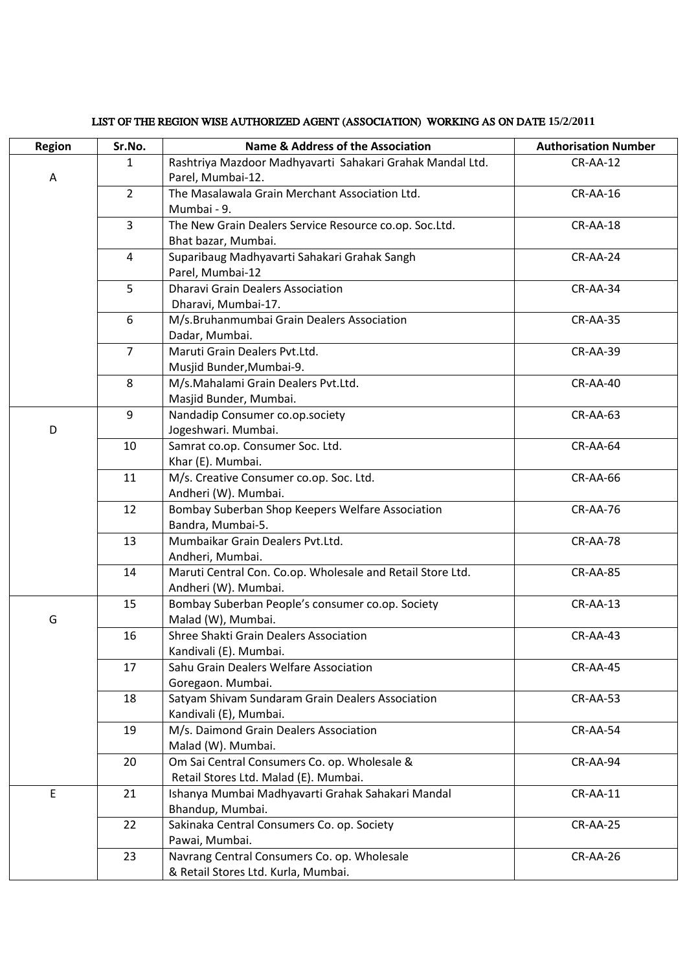| Region | Sr.No.         | <b>Name &amp; Address of the Association</b>                           | <b>Authorisation Number</b> |
|--------|----------------|------------------------------------------------------------------------|-----------------------------|
|        | $\mathbf{1}$   | Rashtriya Mazdoor Madhyavarti Sahakari Grahak Mandal Ltd.              | $CR-AA-12$                  |
| A      |                | Parel, Mumbai-12.                                                      |                             |
|        | $\overline{2}$ | The Masalawala Grain Merchant Association Ltd.                         | $CR-AA-16$                  |
|        |                | Mumbai - 9.                                                            |                             |
|        | $\overline{3}$ | The New Grain Dealers Service Resource co.op. Soc.Ltd.                 | $CR-AA-18$                  |
|        |                | Bhat bazar, Mumbai.                                                    |                             |
|        | 4              | Suparibaug Madhyavarti Sahakari Grahak Sangh                           | CR-AA-24                    |
|        |                | Parel, Mumbai-12                                                       |                             |
|        | 5              | <b>Dharavi Grain Dealers Association</b>                               | CR-AA-34                    |
|        |                | Dharavi, Mumbai-17.                                                    |                             |
|        | 6              | M/s.Bruhanmumbai Grain Dealers Association                             | CR-AA-35                    |
|        |                | Dadar, Mumbai.                                                         |                             |
|        | $\overline{7}$ | Maruti Grain Dealers Pvt.Ltd.                                          | <b>CR-AA-39</b>             |
|        |                | Musjid Bunder, Mumbai-9.                                               |                             |
|        | 8              | M/s.Mahalami Grain Dealers Pvt.Ltd.                                    | CR-AA-40                    |
|        |                | Masjid Bunder, Mumbai.                                                 |                             |
|        | 9              | Nandadip Consumer co.op.society                                        | $CR-AA-63$                  |
| D      |                | Jogeshwari. Mumbai.                                                    |                             |
|        | 10             | Samrat co.op. Consumer Soc. Ltd.                                       | CR-AA-64                    |
|        |                | Khar (E). Mumbai.                                                      |                             |
|        | 11             | M/s. Creative Consumer co.op. Soc. Ltd.                                | CR-AA-66                    |
|        |                | Andheri (W). Mumbai.                                                   |                             |
|        | 12             | Bombay Suberban Shop Keepers Welfare Association                       | <b>CR-AA-76</b>             |
|        |                | Bandra, Mumbai-5.                                                      |                             |
|        | 13             | Mumbaikar Grain Dealers Pvt.Ltd.                                       | <b>CR-AA-78</b>             |
|        |                | Andheri, Mumbai.                                                       |                             |
|        | 14             | Maruti Central Con. Co.op. Wholesale and Retail Store Ltd.             | <b>CR-AA-85</b>             |
|        | 15             | Andheri (W). Mumbai.                                                   |                             |
| G      |                | Bombay Suberban People's consumer co.op. Society<br>Malad (W), Mumbai. | $CR-AA-13$                  |
|        | 16             | Shree Shakti Grain Dealers Association                                 | <b>CR-AA-43</b>             |
|        |                | Kandivali (E). Mumbai.                                                 |                             |
|        | 17             | Sahu Grain Dealers Welfare Association                                 | CR-AA-45                    |
|        |                | Goregaon. Mumbai.                                                      |                             |
|        | 18             | Satyam Shivam Sundaram Grain Dealers Association                       | <b>CR-AA-53</b>             |
|        |                | Kandivali (E), Mumbai.                                                 |                             |
|        | 19             | M/s. Daimond Grain Dealers Association                                 | CR-AA-54                    |
|        |                | Malad (W). Mumbai.                                                     |                             |
|        | 20             | Om Sai Central Consumers Co. op. Wholesale &                           | CR-AA-94                    |
|        |                | Retail Stores Ltd. Malad (E). Mumbai.                                  |                             |
| E      | 21             | Ishanya Mumbai Madhyavarti Grahak Sahakari Mandal                      | <b>CR-AA-11</b>             |
|        |                | Bhandup, Mumbai.                                                       |                             |
|        | 22             | Sakinaka Central Consumers Co. op. Society                             | CR-AA-25                    |
|        |                | Pawai, Mumbai.                                                         |                             |
|        | 23             | Navrang Central Consumers Co. op. Wholesale                            | CR-AA-26                    |
|        |                | & Retail Stores Ltd. Kurla, Mumbai.                                    |                             |

## LIST OF THE REGION WISE AUTHORIZED AGENT (ASSOCIATION) WORKING AS ON DATE **15/2/2011**